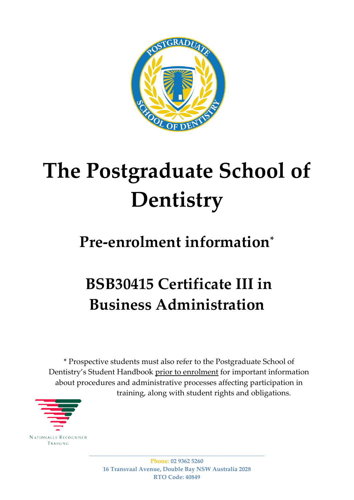

# **The Postgraduate School of Dentistry**

### **Pre-enrolment information\***

## **BSB30415 Certificate III in Business Administration**

\* Prospective students must also refer to the Postgraduate School of Dentistry's Student Handbook prior to enrolment for important information about procedures and administrative processes affecting participation in training, along with student rights and obligations.



\_\_\_\_\_\_\_\_\_\_\_\_\_\_\_\_\_\_\_\_\_\_\_\_\_\_\_\_\_\_\_\_\_\_\_\_\_\_\_\_\_\_\_\_\_\_\_\_\_\_\_\_\_\_\_\_\_\_\_ **Phone: 02 9362 5260 16 Transvaal Avenue, Double Bay NSW Australia 2028 RTO Code: 40849**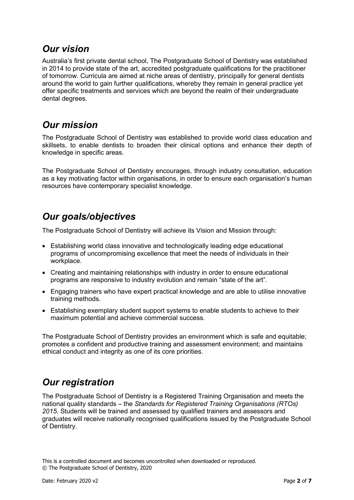#### *Our vision*

Australia's first private dental school, The Postgraduate School of Dentistry was established in 2014 to provide state of the art, accredited postgraduate qualifications for the practitioner of tomorrow. Curricula are aimed at niche areas of dentistry, principally for general dentists around the world to gain further qualifications, whereby they remain in general practice yet offer specific treatments and services which are beyond the realm of their undergraduate dental degrees.

#### *Our mission*

The Postgraduate School of Dentistry was established to provide world class education and skillsets, to enable dentists to broaden their clinical options and enhance their depth of knowledge in specific areas.

The Postgraduate School of Dentistry encourages, through industry consultation, education as a key motivating factor within organisations, in order to ensure each organisation's human resources have contemporary specialist knowledge.

### *Our goals/objectives*

The Postgraduate School of Dentistry will achieve its Vision and Mission through:

- Establishing world class innovative and technologically leading edge educational programs of uncompromising excellence that meet the needs of individuals in their workplace.
- Creating and maintaining relationships with industry in order to ensure educational programs are responsive to industry evolution and remain "state of the art".
- Engaging trainers who have expert practical knowledge and are able to utilise innovative training methods.
- Establishing exemplary student support systems to enable students to achieve to their maximum potential and achieve commercial success.

The Postgraduate School of Dentistry provides an environment which is safe and equitable; promotes a confident and productive training and assessment environment; and maintains ethical conduct and integrity as one of its core priorities.

#### *Our registration*

The Postgraduate School of Dentistry is a Registered Training Organisation and meets the national quality standards – the *Standards for Registered Training Organisations (RTOs) 2015*. Students will be trained and assessed by qualified trainers and assessors and graduates will receive nationally recognised qualifications issued by the Postgraduate School of Dentistry.

This is a controlled document and becomes uncontrolled when downloaded or reproduced. © The Postgraduate School of Dentistry, 2020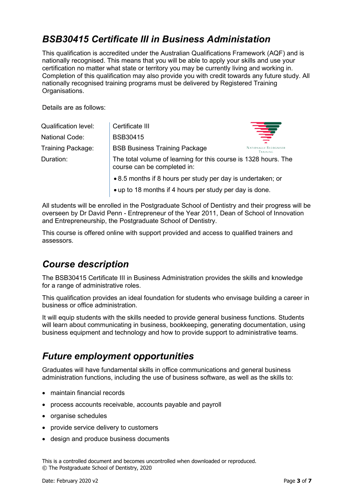#### *BSB30415 Certificate III in Business Administation*

This qualification is accredited under the Australian Qualifications Framework (AQF) and is nationally recognised. This means that you will be able to apply your skills and use your certification no matter what state or territory you may be currently living and working in. Completion of this qualification may also provide you with credit towards any future study. All nationally recognised training programs must be delivered by Registered Training Organisations.

Details are as follows:

| <b>Qualification level:</b> | Certificate III                                                                                |                                          |
|-----------------------------|------------------------------------------------------------------------------------------------|------------------------------------------|
| <b>National Code:</b>       | <b>BSB30415</b>                                                                                | 章                                        |
| <b>Training Package:</b>    | <b>BSB Business Training Package</b>                                                           | <b>NATIONALLY RECOGNISED</b><br>Training |
| Duration:                   | The total volume of learning for this course is 1328 hours. The<br>course can be completed in: |                                          |
|                             | • 8.5 months if 8 hours per study per day is undertaken; or                                    |                                          |
|                             | • up to 18 months if 4 hours per study per day is done.                                        |                                          |

All students will be enrolled in the Postgraduate School of Dentistry and their progress will be overseen by Dr David Penn - Entrepreneur of the Year 2011, Dean of School of Innovation and Entrepreneurship, the Postgraduate School of Dentistry.

This course is offered online with support provided and access to qualified trainers and assessors.

#### *Course description*

The BSB30415 Certificate III in Business Administration provides the skills and knowledge for a range of administrative roles.

This qualification provides an ideal foundation for students who envisage building a career in business or office administration.

It will equip students with the skills needed to provide general business functions. Students will learn about communicating in business, bookkeeping, generating documentation, using business equipment and technology and how to provide support to administrative teams.

### *Future employment opportunities*

Graduates will have fundamental skills in office communications and general business administration functions, including the use of business software, as well as the skills to:

- maintain financial records
- process accounts receivable, accounts payable and payroll
- organise schedules
- provide service delivery to customers
- design and produce business documents

This is a controlled document and becomes uncontrolled when downloaded or reproduced. © The Postgraduate School of Dentistry, 2020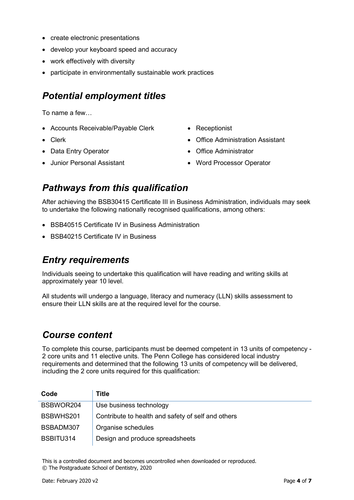- create electronic presentations
- develop your keyboard speed and accuracy
- work effectively with diversity
- participate in environmentally sustainable work practices

#### *Potential employment titles*

To name a few…

- Accounts Receivable/Payable Clerk
- Clerk
- Data Entry Operator
- Junior Personal Assistant
- Receptionist
- Office Administration Assistant
- Office Administrator
- Word Processor Operator

#### *Pathways from this qualification*

After achieving the BSB30415 Certificate III in Business Administration, individuals may seek to undertake the following nationally recognised qualifications, among others:

- BSB40515 Certificate IV in Business Administration
- BSB40215 Certificate IV in Business

#### *Entry requirements*

Individuals seeing to undertake this qualification will have reading and writing skills at approximately year 10 level.

All students will undergo a language, literacy and numeracy (LLN) skills assessment to ensure their LLN skills are at the required level for the course.

#### *Course content*

To complete this course, participants must be deemed competent in 13 units of competency - 2 core units and 11 elective units. The Penn College has considered local industry requirements and determined that the following 13 units of competency will be delivered, including the 2 core units required for this qualification:

| Code      | Title                                              |
|-----------|----------------------------------------------------|
| BSBWOR204 | Use business technology                            |
| BSBWHS201 | Contribute to health and safety of self and others |
| BSBADM307 | Organise schedules                                 |
| BSBITU314 | Design and produce spreadsheets                    |

This is a controlled document and becomes uncontrolled when downloaded or reproduced. © The Postgraduate School of Dentistry, 2020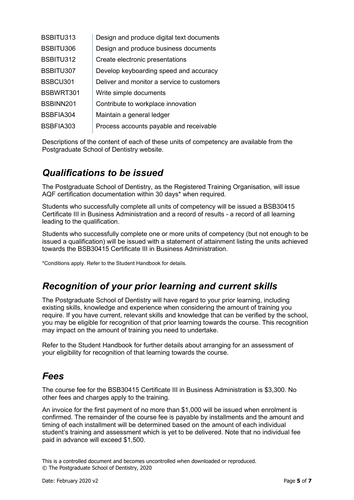| BSBITU313 | Design and produce digital text documents  |
|-----------|--------------------------------------------|
| BSBITU306 | Design and produce business documents      |
| BSBITU312 | Create electronic presentations            |
| BSBITU307 | Develop keyboarding speed and accuracy     |
| BSBCU301  | Deliver and monitor a service to customers |
| BSBWRT301 | Write simple documents                     |
| BSBINN201 | Contribute to workplace innovation         |
| BSBFIA304 | Maintain a general ledger                  |
| BSBFIA303 | Process accounts payable and receivable    |

Descriptions of the content of each of these units of competency are available from the Postgraduate School of Dentistry website.

#### *Qualifications to be issued*

The Postgraduate School of Dentistry, as the Registered Training Organisation, will issue AQF certification documentation within 30 days\* when required.

Students who successfully complete all units of competency will be issued a BSB30415 Certificate III in Business Administration and a record of results - a record of all learning leading to the qualification.

Students who successfully complete one or more units of competency (but not enough to be issued a qualification) will be issued with a statement of attainment listing the units achieved towards the BSB30415 Certificate III in Business Administration.

\*Conditions apply. Refer to the Student Handbook for details.

#### *Recognition of your prior learning and current skills*

The Postgraduate School of Dentistry will have regard to your prior learning, including existing skills, knowledge and experience when considering the amount of training you require. If you have current, relevant skills and knowledge that can be verified by the school, you may be eligible for recognition of that prior learning towards the course. This recognition may impact on the amount of training you need to undertake.

Refer to the Student Handbook for further details about arranging for an assessment of your eligibility for recognition of that learning towards the course.

#### *Fees*

The course fee for the BSB30415 Certificate III in Business Administration is \$3,300. No other fees and charges apply to the training.

An invoice for the first payment of no more than \$1,000 will be issued when enrolment is confirmed. The remainder of the course fee is payable by installments and the amount and timing of each installment will be determined based on the amount of each individual student's training and assessment which is yet to be delivered. Note that no individual fee paid in advance will exceed \$1,500.

This is a controlled document and becomes uncontrolled when downloaded or reproduced. © The Postgraduate School of Dentistry, 2020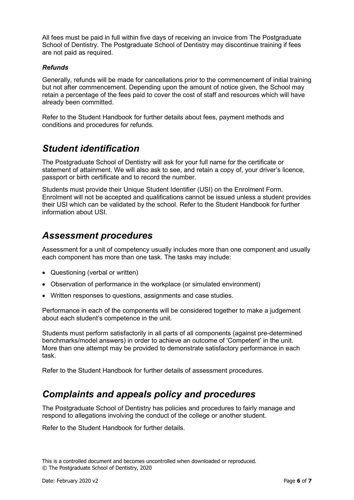All fees must be paid in full within five days of receiving an invoice from The Postgraduate School of Dentistry. The Postgraduate School of Dentistry may discontinue training if fees are not paid as required.

#### *Refunds*

Generally, refunds will be made for cancellations prior to the commencement of initial training but not after commencement. Depending upon the amount of notice given, the School may retain a percentage of the fees paid to cover the cost of staff and resources which will have already been committed.

Refer to the Student Handbook for further details about fees, payment methods and conditions and procedures for refunds.

#### *Student identification*

The Postgraduate School of Dentistry will ask for your full name for the certificate or statement of attainment. We will also ask to see, and retain a copy of, your driver's licence, passport or birth certificate and to record the number.

Students must provide their Unique Student Identifier (USI) on the Enrolment Form. Enrolment will not be accepted and qualifications cannot be issued unless a student provides their USI which can be validated by the school. Refer to the Student Handbook for further information about USI.

#### *Assessment procedures*

Assessment for a unit of competency usually includes more than one component and usually each component has more than one task. The tasks may include:

- Questioning (verbal or written)
- Observation of performance in the workplace (or simulated environment)
- Written responses to questions, assignments and case studies.

Performance in each of the components will be considered together to make a judgement about each student's competence in the unit.

Students must perform satisfactorily in all parts of all components (against pre-determined benchmarks/model answers) in order to achieve an outcome of 'Competent' in the unit. More than one attempt may be provided to demonstrate satisfactory performance in each task.

Refer to the Student Handbook for further details of assessment procedures.

#### *Complaints and appeals policy and procedures*

The Postgraduate School of Dentistry has policies and procedures to fairly manage and respond to allegations involving the conduct of the college or another student.

Refer to the Student Handbook for further details.

This is a controlled document and becomes uncontrolled when downloaded or reproduced. © The Postgraduate School of Dentistry, 2020